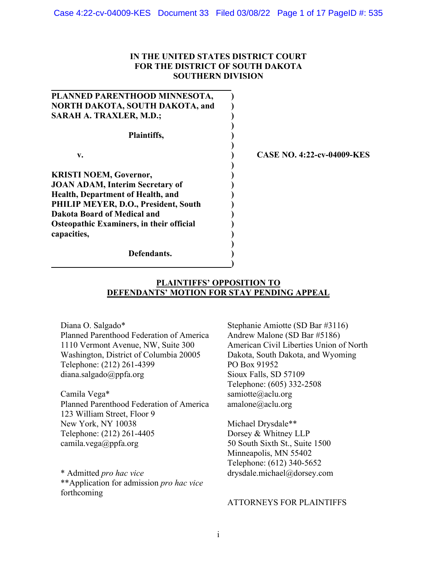# **IN THE UNITED STATES DISTRICT COURT FOR THE DISTRICT OF SOUTH DAKOTA SOUTHERN DIVISION**

| PLANNED PARENTHOOD MINNESOTA,                   |                                   |
|-------------------------------------------------|-----------------------------------|
| NORTH DAKOTA, SOUTH DAKOTA, and                 |                                   |
| <b>SARAH A. TRAXLER, M.D.;</b>                  |                                   |
| Plaintiffs,                                     |                                   |
| V.                                              | <b>CASE NO. 4:22-cv-04009-KES</b> |
| <b>KRISTI NOEM, Governor,</b>                   |                                   |
| <b>JOAN ADAM, Interim Secretary of</b>          |                                   |
| Health, Department of Health, and               |                                   |
| PHILIP MEYER, D.O., President, South            |                                   |
| Dakota Board of Medical and                     |                                   |
| <b>Osteopathic Examiners, in their official</b> |                                   |
| capacities,                                     |                                   |
|                                                 |                                   |
| Defendants.                                     |                                   |
|                                                 |                                   |

# **PLAINTIFFS' OPPOSITION TO DEFENDANTS' MOTION FOR STAY PENDING APPEAL**

Diana O. Salgado\* Planned Parenthood Federation of America 1110 Vermont Avenue, NW, Suite 300 Washington, District of Columbia 20005 Telephone: (212) 261-4399 diana.salgado@ppfa.org

Camila Vega\* Planned Parenthood Federation of America 123 William Street, Floor 9 New York, NY 10038 Telephone: (212) 261-4405 camila.vega@ppfa.org

\* Admitted *pro hac vice* \*\*Application for admission *pro hac vice* forthcoming

Stephanie Amiotte (SD Bar #3116) Andrew Malone (SD Bar #5186) American Civil Liberties Union of North Dakota, South Dakota, and Wyoming PO Box 91952 Sioux Falls, SD 57109 Telephone: (605) 332-2508 samiotte@aclu.org amalone@aclu.org

Michael Drysdale\*\* Dorsey & Whitney LLP 50 South Sixth St., Suite 1500 Minneapolis, MN 55402 Telephone: (612) 340-5652 drysdale.michael@dorsey.com

# ATTORNEYS FOR PLAINTIFFS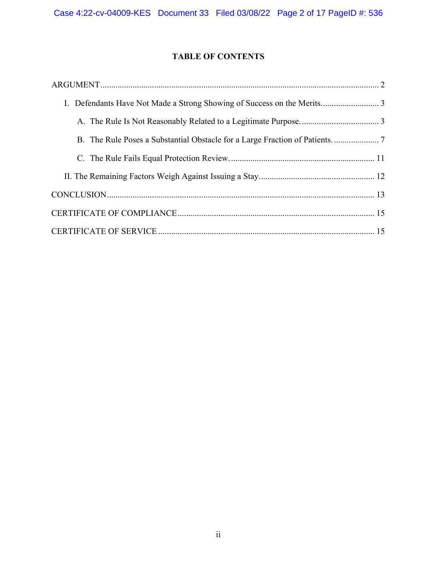# **TABLE OF CONTENTS**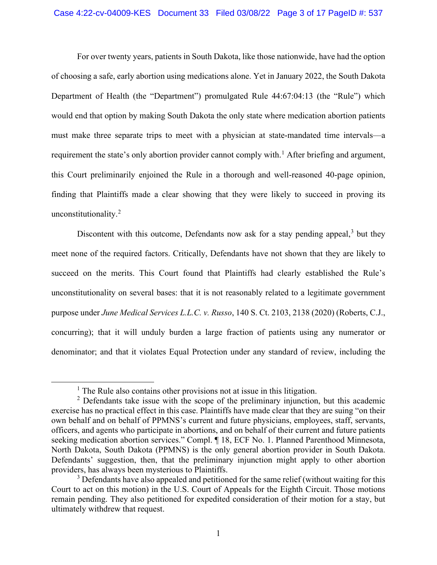#### Case 4:22-cv-04009-KES Document 33 Filed 03/08/22 Page 3 of 17 PageID #: 537

For over twenty years, patients in South Dakota, like those nationwide, have had the option of choosing a safe, early abortion using medications alone. Yet in January 2022, the South Dakota Department of Health (the "Department") promulgated Rule 44:67:04:13 (the "Rule") which would end that option by making South Dakota the only state where medication abortion patients must make three separate trips to meet with a physician at state-mandated time intervals—a requirement the state's only abortion provider cannot comply with.<sup>[1](#page-2-0)</sup> After briefing and argument, this Court preliminarily enjoined the Rule in a thorough and well-reasoned 40-page opinion, finding that Plaintiffs made a clear showing that they were likely to succeed in proving its unconstitutionality.<sup>[2](#page-2-1)</sup>

Discontent with this outcome, Defendants now ask for a stay pending appeal,  $3$  but they meet none of the required factors. Critically, Defendants have not shown that they are likely to succeed on the merits. This Court found that Plaintiffs had clearly established the Rule's unconstitutionality on several bases: that it is not reasonably related to a legitimate government purpose under *June Medical Services L.L.C. v. Russo*, 140 S. Ct. 2103, 2138 (2020) (Roberts, C.J., concurring); that it will unduly burden a large fraction of patients using any numerator or denominator; and that it violates Equal Protection under any standard of review, including the

<sup>&</sup>lt;sup>1</sup> The Rule also contains other provisions not at issue in this litigation.

<span id="page-2-1"></span><span id="page-2-0"></span> $2$  Defendants take issue with the scope of the preliminary injunction, but this academic exercise has no practical effect in this case. Plaintiffs have made clear that they are suing "on their own behalf and on behalf of PPMNS's current and future physicians, employees, staff, servants, officers, and agents who participate in abortions, and on behalf of their current and future patients seeking medication abortion services." Compl. ¶ 18, ECF No. 1. Planned Parenthood Minnesota, North Dakota, South Dakota (PPMNS) is the only general abortion provider in South Dakota. Defendants' suggestion, then, that the preliminary injunction might apply to other abortion providers, has always been mysterious to Plaintiffs.

<span id="page-2-2"></span> $3$  Defendants have also appealed and petitioned for the same relief (without waiting for this Court to act on this motion) in the U.S. Court of Appeals for the Eighth Circuit. Those motions remain pending. They also petitioned for expedited consideration of their motion for a stay, but ultimately withdrew that request.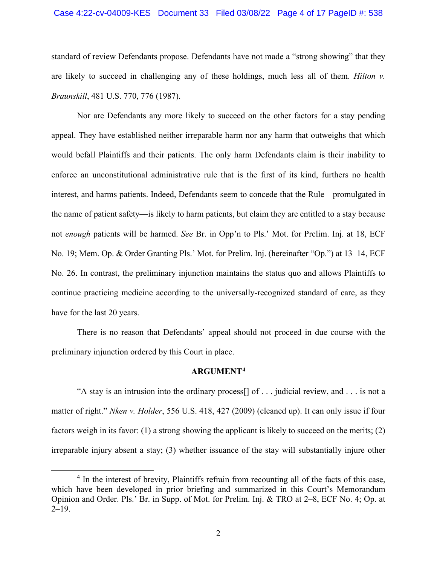#### Case 4:22-cv-04009-KES Document 33 Filed 03/08/22 Page 4 of 17 PageID #: 538

standard of review Defendants propose. Defendants have not made a "strong showing" that they are likely to succeed in challenging any of these holdings, much less all of them. *Hilton v. Braunskill*, 481 U.S. 770, 776 (1987).

Nor are Defendants any more likely to succeed on the other factors for a stay pending appeal. They have established neither irreparable harm nor any harm that outweighs that which would befall Plaintiffs and their patients. The only harm Defendants claim is their inability to enforce an unconstitutional administrative rule that is the first of its kind, furthers no health interest, and harms patients. Indeed, Defendants seem to concede that the Rule—promulgated in the name of patient safety—is likely to harm patients, but claim they are entitled to a stay because not *enough* patients will be harmed. *See* Br. in Opp'n to Pls.' Mot. for Prelim. Inj. at 18, ECF No. 19; Mem. Op. & Order Granting Pls.' Mot. for Prelim. Inj. (hereinafter "Op.") at 13–14, ECF No. 26. In contrast, the preliminary injunction maintains the status quo and allows Plaintiffs to continue practicing medicine according to the universally-recognized standard of care, as they have for the last 20 years.

There is no reason that Defendants' appeal should not proceed in due course with the preliminary injunction ordered by this Court in place.

## **ARGUMENT[4](#page-3-1)**

<span id="page-3-0"></span>"A stay is an intrusion into the ordinary process[] of . . . judicial review, and . . . is not a matter of right." *Nken v. Holder*, 556 U.S. 418, 427 (2009) (cleaned up). It can only issue if four factors weigh in its favor: (1) a strong showing the applicant is likely to succeed on the merits; (2) irreparable injury absent a stay; (3) whether issuance of the stay will substantially injure other

<span id="page-3-1"></span><sup>&</sup>lt;sup>4</sup> In the interest of brevity, Plaintiffs refrain from recounting all of the facts of this case, which have been developed in prior briefing and summarized in this Court's Memorandum Opinion and Order. Pls.' Br. in Supp. of Mot. for Prelim. Inj. & TRO at 2–8, ECF No. 4; Op. at  $2-19.$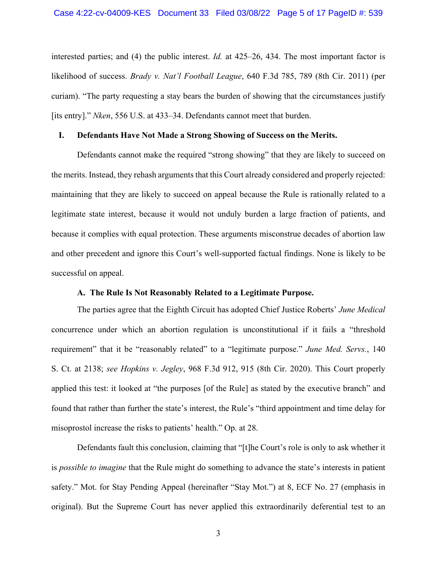interested parties; and (4) the public interest. *Id.* at 425–26, 434. The most important factor is likelihood of success. *Brady v. Nat'l Football League*, 640 F.3d 785, 789 (8th Cir. 2011) (per curiam). "The party requesting a stay bears the burden of showing that the circumstances justify [its entry]." *Nken*, 556 U.S. at 433–34. Defendants cannot meet that burden.

## <span id="page-4-0"></span>**I. Defendants Have Not Made a Strong Showing of Success on the Merits.**

Defendants cannot make the required "strong showing" that they are likely to succeed on the merits. Instead, they rehash arguments that this Court already considered and properly rejected: maintaining that they are likely to succeed on appeal because the Rule is rationally related to a legitimate state interest, because it would not unduly burden a large fraction of patients, and because it complies with equal protection. These arguments misconstrue decades of abortion law and other precedent and ignore this Court's well-supported factual findings. None is likely to be successful on appeal.

## **A. The Rule Is Not Reasonably Related to a Legitimate Purpose.**

<span id="page-4-1"></span>The parties agree that the Eighth Circuit has adopted Chief Justice Roberts' *June Medical*  concurrence under which an abortion regulation is unconstitutional if it fails a "threshold requirement" that it be "reasonably related" to a "legitimate purpose." *June Med. Servs.*, 140 S. Ct. at 2138; *see Hopkins v. Jegley*, 968 F.3d 912, 915 (8th Cir. 2020). This Court properly applied this test: it looked at "the purposes [of the Rule] as stated by the executive branch" and found that rather than further the state's interest, the Rule's "third appointment and time delay for misoprostol increase the risks to patients' health." Op. at 28.

Defendants fault this conclusion, claiming that "[t]he Court's role is only to ask whether it is *possible to imagine* that the Rule might do something to advance the state's interests in patient safety." Mot. for Stay Pending Appeal (hereinafter "Stay Mot.") at 8, ECF No. 27 (emphasis in original). But the Supreme Court has never applied this extraordinarily deferential test to an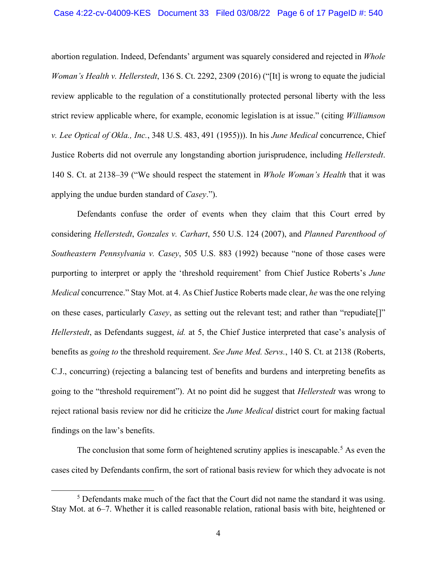#### Case 4:22-cv-04009-KES Document 33 Filed 03/08/22 Page 6 of 17 PageID #: 540

abortion regulation. Indeed, Defendants' argument was squarely considered and rejected in *Whole Woman's Health v. Hellerstedt*, 136 S. Ct. 2292, 2309 (2016) ("[It] is wrong to equate the judicial review applicable to the regulation of a constitutionally protected personal liberty with the less strict review applicable where, for example, economic legislation is at issue." (citing *Williamson v. Lee Optical of Okla., Inc.*, 348 U.S. 483, 491 (1955))). In his *June Medical* concurrence, Chief Justice Roberts did not overrule any longstanding abortion jurisprudence, including *Hellerstedt*. 140 S. Ct. at 2138–39 ("We should respect the statement in *Whole Woman's Health* that it was applying the undue burden standard of *Casey*.").

Defendants confuse the order of events when they claim that this Court erred by considering *Hellerstedt*, *Gonzales v. Carhart*, 550 U.S. 124 (2007), and *Planned Parenthood of Southeastern Pennsylvania v. Casey*, 505 U.S. 883 (1992) because "none of those cases were purporting to interpret or apply the 'threshold requirement' from Chief Justice Roberts's *June Medical* concurrence." Stay Mot. at 4. As Chief Justice Roberts made clear, *he* was the one relying on these cases, particularly *Casey*, as setting out the relevant test; and rather than "repudiate[]" *Hellerstedt*, as Defendants suggest, *id.* at 5, the Chief Justice interpreted that case's analysis of benefits as *going to* the threshold requirement. *See June Med. Servs.*, 140 S. Ct. at 2138 (Roberts, C.J., concurring) (rejecting a balancing test of benefits and burdens and interpreting benefits as going to the "threshold requirement"). At no point did he suggest that *Hellerstedt* was wrong to reject rational basis review nor did he criticize the *June Medical* district court for making factual findings on the law's benefits.

The conclusion that some form of heightened scrutiny applies is inescapable.<sup>[5](#page-5-0)</sup> As even the cases cited by Defendants confirm, the sort of rational basis review for which they advocate is not

<span id="page-5-0"></span> $<sup>5</sup>$  Defendants make much of the fact that the Court did not name the standard it was using.</sup> Stay Mot. at 6–7. Whether it is called reasonable relation, rational basis with bite, heightened or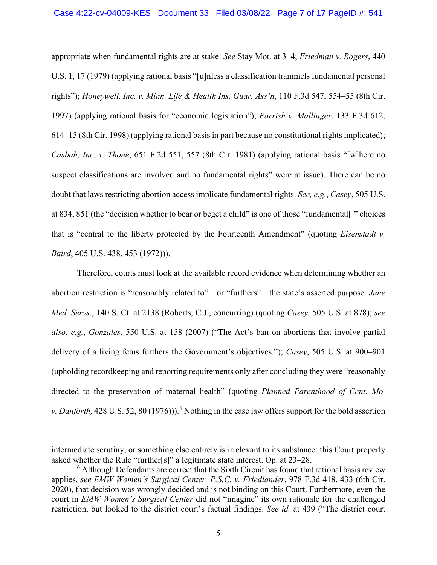appropriate when fundamental rights are at stake. *See* Stay Mot. at 3–4; *Friedman v. Rogers*, 440 U.S. 1, 17 (1979) (applying rational basis "[u]nless a classification trammels fundamental personal rights"); *Honeywell, Inc. v. Minn. Life & Health Ins. Guar. Ass'n*, 110 F.3d 547, 554–55 (8th Cir. 1997) (applying rational basis for "economic legislation"); *Parrish v. Mallinger*, 133 F.3d 612, 614–15 (8th Cir. 1998) (applying rational basis in part because no constitutional rights implicated); *Casbah, Inc. v. Thone*, 651 F.2d 551, 557 (8th Cir. 1981) (applying rational basis "[w]here no suspect classifications are involved and no fundamental rights" were at issue). There can be no doubt that laws restricting abortion access implicate fundamental rights. *See, e.g.*, *Casey*, 505 U.S. at 834, 851 (the "decision whether to bear or beget a child" is one of those "fundamental[]" choices that is "central to the liberty protected by the Fourteenth Amendment" (quoting *Eisenstadt v. Baird*, 405 U.S. 438, 453 (1972))).

Therefore, courts must look at the available record evidence when determining whether an abortion restriction is "reasonably related to"—or "furthers"—the state's asserted purpose. *June Med. Servs.*, 140 S. Ct. at 2138 (Roberts, C.J., concurring) (quoting *Casey,* 505 U.S. at 878); *see also*, *e.g.*, *Gonzales*, 550 U.S. at 158 (2007) ("The Act's ban on abortions that involve partial delivery of a living fetus furthers the Government's objectives."); *Casey*, 505 U.S. at 900–901 (upholding recordkeeping and reporting requirements only after concluding they were "reasonably directed to the preservation of maternal health" (quoting *Planned Parenthood of Cent. Mo. v. Danforth*, 428 U.S. 52, 80 (197[6](#page-6-0))).<sup>6</sup> Nothing in the case law offers support for the bold assertion

intermediate scrutiny, or something else entirely is irrelevant to its substance: this Court properly asked whether the Rule "further[s]" a legitimate state interest. Op. at 23–28.

<span id="page-6-0"></span> $6$  Although Defendants are correct that the Sixth Circuit has found that rational basis review applies, *see EMW Women's Surgical Center, P.S.C. v. Friedlander*, 978 F.3d 418, 433 (6th Cir. 2020), that decision was wrongly decided and is not binding on this Court. Furthermore, even the court in *EMW Women's Surgical Center* did not "imagine" its own rationale for the challenged restriction, but looked to the district court's factual findings. *See id.* at 439 ("The district court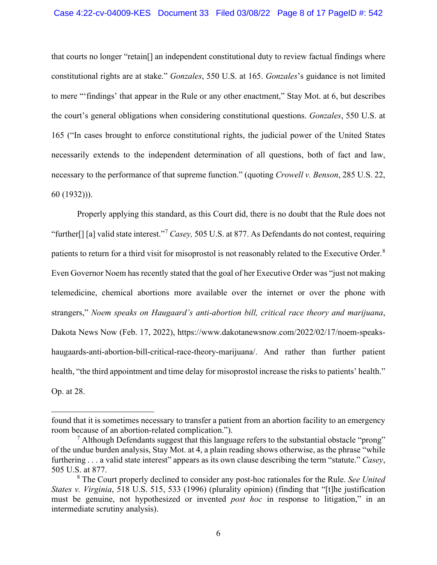#### Case 4:22-cv-04009-KES Document 33 Filed 03/08/22 Page 8 of 17 PageID #: 542

that courts no longer "retain[] an independent constitutional duty to review factual findings where constitutional rights are at stake." *Gonzales*, 550 U.S. at 165. *Gonzales*'s guidance is not limited to mere "'findings' that appear in the Rule or any other enactment," Stay Mot. at 6, but describes the court's general obligations when considering constitutional questions. *Gonzales*, 550 U.S. at 165 ("In cases brought to enforce constitutional rights, the judicial power of the United States necessarily extends to the independent determination of all questions, both of fact and law, necessary to the performance of that supreme function." (quoting *Crowell v. Benson*, 285 U.S. 22, 60 (1932))).

Properly applying this standard, as this Court did, there is no doubt that the Rule does not "further[] [a] valid state interest."[7](#page-7-0) *Casey,* 505 U.S. at 877. As Defendants do not contest, requiring patients to return for a third visit for misoprostol is not reasonably related to the Executive Order.<sup>[8](#page-7-1)</sup> Even Governor Noem has recently stated that the goal of her Executive Order was "just not making telemedicine, chemical abortions more available over the internet or over the phone with strangers," *Noem speaks on Haugaard's anti-abortion bill, critical race theory and marijuana*, Dakota News Now (Feb. 17, 2022), https://www.dakotanewsnow.com/2022/02/17/noem-speakshaugaards-anti-abortion-bill-critical-race-theory-marijuana/. And rather than further patient health, "the third appointment and time delay for misoprostol increase the risks to patients' health." Op. at 28.

found that it is sometimes necessary to transfer a patient from an abortion facility to an emergency room because of an abortion-related complication.").

<span id="page-7-0"></span> $<sup>7</sup>$  Although Defendants suggest that this language refers to the substantial obstacle "prong"</sup> of the undue burden analysis, Stay Mot. at 4, a plain reading shows otherwise, as the phrase "while furthering . . . a valid state interest" appears as its own clause describing the term "statute." *Casey*, 505 U.S. at 877.

<span id="page-7-1"></span><sup>8</sup> The Court properly declined to consider any post-hoc rationales for the Rule. *See United States v. Virginia*, 518 U.S. 515, 533 (1996) (plurality opinion) (finding that "[t]he justification must be genuine, not hypothesized or invented *post hoc* in response to litigation," in an intermediate scrutiny analysis).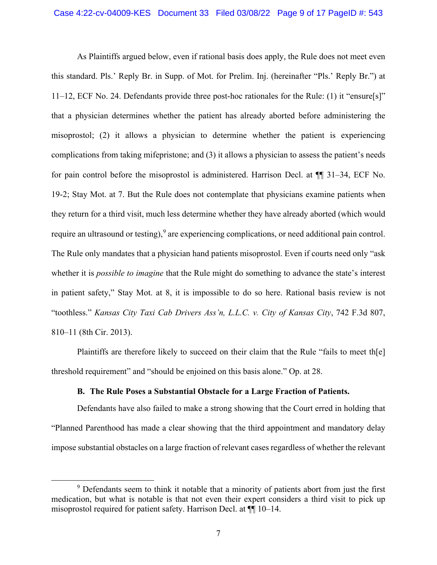As Plaintiffs argued below, even if rational basis does apply, the Rule does not meet even this standard. Pls.' Reply Br. in Supp. of Mot. for Prelim. Inj. (hereinafter "Pls.' Reply Br.") at 11–12, ECF No. 24. Defendants provide three post-hoc rationales for the Rule: (1) it "ensure[s]" that a physician determines whether the patient has already aborted before administering the misoprostol; (2) it allows a physician to determine whether the patient is experiencing complications from taking mifepristone; and (3) it allows a physician to assess the patient's needs for pain control before the misoprostol is administered. Harrison Decl. at ¶¶ 31–34, ECF No. 19-2; Stay Mot. at 7. But the Rule does not contemplate that physicians examine patients when they return for a third visit, much less determine whether they have already aborted (which would require an ultrasound or testing),  $9$  are experiencing complications, or need additional pain control. The Rule only mandates that a physician hand patients misoprostol. Even if courts need only "ask whether it is *possible to imagine* that the Rule might do something to advance the state's interest in patient safety," Stay Mot. at 8, it is impossible to do so here. Rational basis review is not "toothless." *Kansas City Taxi Cab Drivers Ass'n, L.L.C. v. City of Kansas City*, 742 F.3d 807, 810–11 (8th Cir. 2013).

Plaintiffs are therefore likely to succeed on their claim that the Rule "fails to meet th[e] threshold requirement" and "should be enjoined on this basis alone." Op. at 28.

## **B. The Rule Poses a Substantial Obstacle for a Large Fraction of Patients.**

<span id="page-8-0"></span>Defendants have also failed to make a strong showing that the Court erred in holding that "Planned Parenthood has made a clear showing that the third appointment and mandatory delay impose substantial obstacles on a large fraction of relevant cases regardless of whether the relevant

<span id="page-8-1"></span><sup>&</sup>lt;sup>9</sup> Defendants seem to think it notable that a minority of patients abort from just the first medication, but what is notable is that not even their expert considers a third visit to pick up misoprostol required for patient safety. Harrison Decl. at ¶¶ 10–14.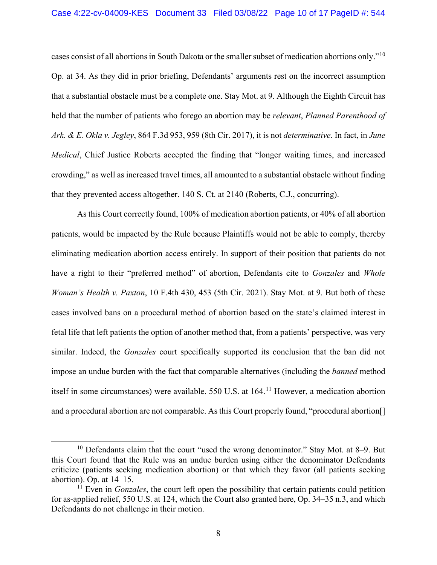cases consist of all abortions in South Dakota or the smaller subset of medication abortions only."[10](#page-9-0) Op. at 34. As they did in prior briefing, Defendants' arguments rest on the incorrect assumption that a substantial obstacle must be a complete one. Stay Mot. at 9. Although the Eighth Circuit has held that the number of patients who forego an abortion may be *relevant*, *Planned Parenthood of Ark. & E. Okla v. Jegley*, 864 F.3d 953, 959 (8th Cir. 2017), it is not *determinative*. In fact, in *June Medical*, Chief Justice Roberts accepted the finding that "longer waiting times, and increased crowding," as well as increased travel times, all amounted to a substantial obstacle without finding that they prevented access altogether. 140 S. Ct. at 2140 (Roberts, C.J., concurring).

As this Court correctly found, 100% of medication abortion patients, or 40% of all abortion patients, would be impacted by the Rule because Plaintiffs would not be able to comply, thereby eliminating medication abortion access entirely. In support of their position that patients do not have a right to their "preferred method" of abortion, Defendants cite to *Gonzales* and *Whole Woman's Health v. Paxton*, 10 F.4th 430, 453 (5th Cir. 2021). Stay Mot. at 9. But both of these cases involved bans on a procedural method of abortion based on the state's claimed interest in fetal life that left patients the option of another method that, from a patients' perspective, was very similar. Indeed, the *Gonzales* court specifically supported its conclusion that the ban did not impose an undue burden with the fact that comparable alternatives (including the *banned* method itself in some circumstances) were available. 550 U.S. at 164.<sup>[11](#page-9-1)</sup> However, a medication abortion and a procedural abortion are not comparable. As this Court properly found, "procedural abortion[]

<span id="page-9-0"></span> $10$  Defendants claim that the court "used the wrong denominator." Stay Mot. at 8–9. But this Court found that the Rule was an undue burden using either the denominator Defendants criticize (patients seeking medication abortion) or that which they favor (all patients seeking abortion). Op. at 14–15.

<span id="page-9-1"></span><sup>&</sup>lt;sup>11</sup> Even in *Gonzales*, the court left open the possibility that certain patients could petition for as-applied relief, 550 U.S. at 124, which the Court also granted here, Op. 34–35 n.3, and which Defendants do not challenge in their motion.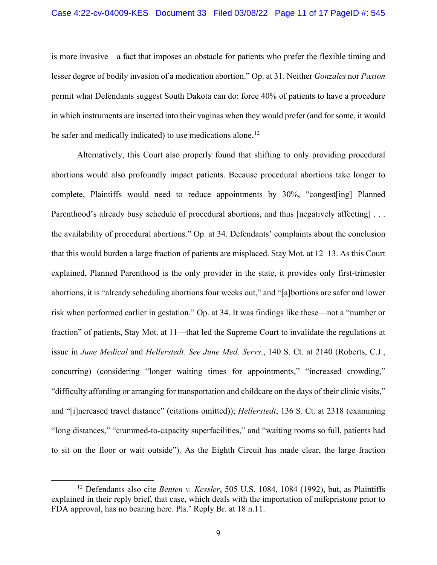is more invasive—a fact that imposes an obstacle for patients who prefer the flexible timing and lesser degree of bodily invasion of a medication abortion." Op. at 31. Neither *Gonzales* nor *Paxton*  permit what Defendants suggest South Dakota can do: force 40% of patients to have a procedure in which instruments are inserted into their vaginas when they would prefer (and for some, it would be safer and medically indicated) to use medications alone.<sup>[12](#page-10-0)</sup>

Alternatively, this Court also properly found that shifting to only providing procedural abortions would also profoundly impact patients. Because procedural abortions take longer to complete, Plaintiffs would need to reduce appointments by 30%, "congest[ing] Planned Parenthood's already busy schedule of procedural abortions, and thus [negatively affecting] . . . the availability of procedural abortions." Op. at 34. Defendants' complaints about the conclusion that this would burden a large fraction of patients are misplaced. Stay Mot. at 12–13. As this Court explained, Planned Parenthood is the only provider in the state, it provides only first-trimester abortions, it is "already scheduling abortions four weeks out," and "[a]bortions are safer and lower risk when performed earlier in gestation." Op. at 34. It was findings like these—not a "number or fraction" of patients, Stay Mot. at 11—that led the Supreme Court to invalidate the regulations at issue in *June Medical* and *Hellerstedt*. *See June Med. Servs.*, 140 S. Ct. at 2140 (Roberts, C.J., concurring) (considering "longer waiting times for appointments," "increased crowding," "difficulty affording or arranging for transportation and childcare on the days of their clinic visits," and "[i]ncreased travel distance" (citations omitted)); *Hellerstedt*, 136 S. Ct. at 2318 (examining "long distances," "crammed-to-capacity superfacilities," and "waiting rooms so full, patients had to sit on the floor or wait outside"). As the Eighth Circuit has made clear, the large fraction

<span id="page-10-0"></span><sup>12</sup> Defendants also cite *Benten v. Kessler*, 505 U.S. 1084, 1084 (1992), but, as Plaintiffs explained in their reply brief, that case, which deals with the importation of mifepristone prior to FDA approval, has no bearing here. Pls.' Reply Br. at 18 n.11.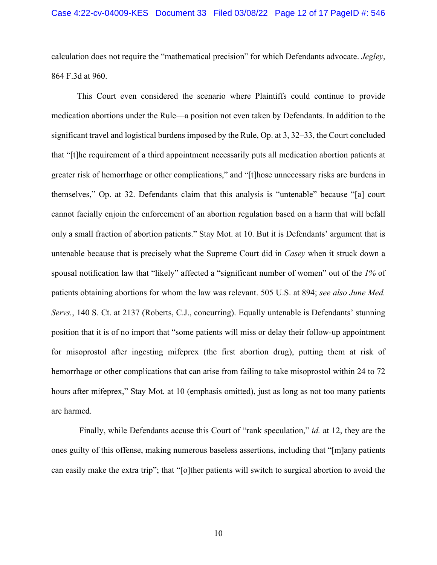calculation does not require the "mathematical precision" for which Defendants advocate. *Jegley*, 864 F.3d at 960.

This Court even considered the scenario where Plaintiffs could continue to provide medication abortions under the Rule—a position not even taken by Defendants. In addition to the significant travel and logistical burdens imposed by the Rule, Op. at 3, 32–33, the Court concluded that "[t]he requirement of a third appointment necessarily puts all medication abortion patients at greater risk of hemorrhage or other complications," and "[t]hose unnecessary risks are burdens in themselves," Op. at 32. Defendants claim that this analysis is "untenable" because "[a] court cannot facially enjoin the enforcement of an abortion regulation based on a harm that will befall only a small fraction of abortion patients." Stay Mot. at 10. But it is Defendants' argument that is untenable because that is precisely what the Supreme Court did in *Casey* when it struck down a spousal notification law that "likely" affected a "significant number of women" out of the *1%* of patients obtaining abortions for whom the law was relevant. 505 U.S. at 894; *see also June Med. Servs.*, 140 S. Ct. at 2137 (Roberts, C.J., concurring). Equally untenable is Defendants' stunning position that it is of no import that "some patients will miss or delay their follow-up appointment for misoprostol after ingesting mifeprex (the first abortion drug), putting them at risk of hemorrhage or other complications that can arise from failing to take misoprostol within 24 to 72 hours after mifeprex," Stay Mot. at 10 (emphasis omitted), just as long as not too many patients are harmed.

Finally, while Defendants accuse this Court of "rank speculation," *id.* at 12, they are the ones guilty of this offense, making numerous baseless assertions, including that "[m]any patients can easily make the extra trip"; that "[o]ther patients will switch to surgical abortion to avoid the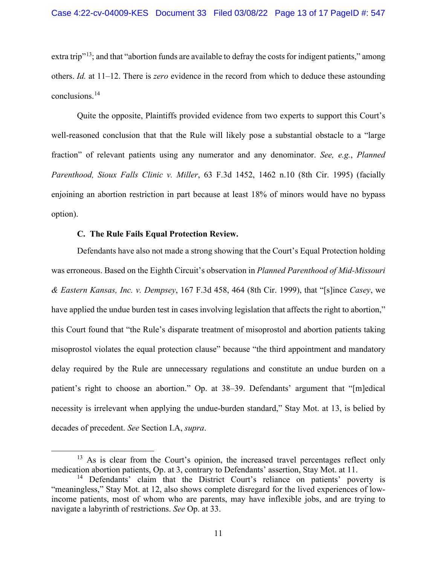extra trip<sup>"13</sup>; and that "abortion funds are available to defray the costs for indigent patients," among others. *Id.* at 11–12. There is *zero* evidence in the record from which to deduce these astounding conclusions.[14](#page-12-2)

Quite the opposite, Plaintiffs provided evidence from two experts to support this Court's well-reasoned conclusion that that the Rule will likely pose a substantial obstacle to a "large fraction" of relevant patients using any numerator and any denominator. *See, e.g.*, *Planned Parenthood, Sioux Falls Clinic v. Miller*, 63 F.3d 1452, 1462 n.10 (8th Cir. 1995) (facially enjoining an abortion restriction in part because at least 18% of minors would have no bypass option).

## **C. The Rule Fails Equal Protection Review.**

<span id="page-12-0"></span>Defendants have also not made a strong showing that the Court's Equal Protection holding was erroneous. Based on the Eighth Circuit's observation in *Planned Parenthood of Mid-Missouri & Eastern Kansas, Inc. v. Dempsey*, 167 F.3d 458, 464 (8th Cir. 1999), that "[s]ince *Casey*, we have applied the undue burden test in cases involving legislation that affects the right to abortion," this Court found that "the Rule's disparate treatment of misoprostol and abortion patients taking misoprostol violates the equal protection clause" because "the third appointment and mandatory delay required by the Rule are unnecessary regulations and constitute an undue burden on a patient's right to choose an abortion." Op. at 38–39. Defendants' argument that "[m]edical necessity is irrelevant when applying the undue-burden standard," Stay Mot. at 13, is belied by decades of precedent. *See* Section I.A, *supra*.

<span id="page-12-1"></span><sup>&</sup>lt;sup>13</sup> As is clear from the Court's opinion, the increased travel percentages reflect only medication abortion patients, Op. at 3, contrary to Defendants' assertion, Stay Mot. at 11.

<span id="page-12-2"></span><sup>&</sup>lt;sup>14</sup> Defendants' claim that the District Court's reliance on patients' poverty is "meaningless," Stay Mot. at 12, also shows complete disregard for the lived experiences of lowincome patients, most of whom who are parents, may have inflexible jobs, and are trying to navigate a labyrinth of restrictions. *See* Op. at 33.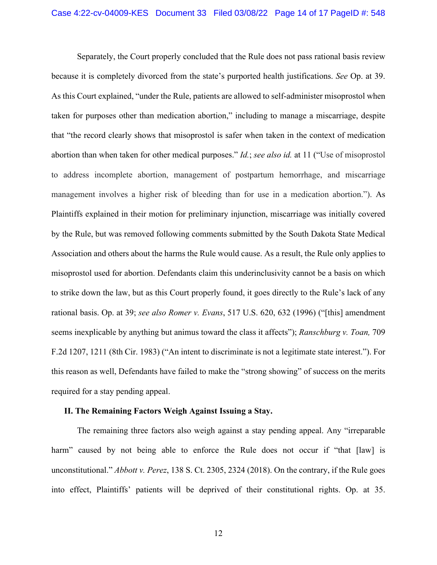Separately, the Court properly concluded that the Rule does not pass rational basis review because it is completely divorced from the state's purported health justifications. *See* Op. at 39. As this Court explained, "under the Rule, patients are allowed to self-administer misoprostol when taken for purposes other than medication abortion," including to manage a miscarriage, despite that "the record clearly shows that misoprostol is safer when taken in the context of medication abortion than when taken for other medical purposes." *Id.*; *see also id.* at 11 ("Use of misoprostol to address incomplete abortion, management of postpartum hemorrhage, and miscarriage management involves a higher risk of bleeding than for use in a medication abortion."). As Plaintiffs explained in their motion for preliminary injunction, miscarriage was initially covered by the Rule, but was removed following comments submitted by the South Dakota State Medical Association and others about the harms the Rule would cause. As a result, the Rule only applies to misoprostol used for abortion. Defendants claim this underinclusivity cannot be a basis on which to strike down the law, but as this Court properly found, it goes directly to the Rule's lack of any rational basis. Op. at 39; *see also Romer v. Evans*, 517 U.S. 620, 632 (1996) ("[this] amendment seems inexplicable by anything but animus toward the class it affects"); *Ranschburg v. Toan,* 709 F.2d 1207, 1211 (8th Cir. 1983) ("An intent to discriminate is not a legitimate state interest."). For this reason as well, Defendants have failed to make the "strong showing" of success on the merits required for a stay pending appeal.

#### <span id="page-13-0"></span>**II. The Remaining Factors Weigh Against Issuing a Stay.**

The remaining three factors also weigh against a stay pending appeal. Any "irreparable harm" caused by not being able to enforce the Rule does not occur if "that [law] is unconstitutional." *Abbott v. Perez*, 138 S. Ct. 2305, 2324 (2018). On the contrary, if the Rule goes into effect, Plaintiffs' patients will be deprived of their constitutional rights. Op. at 35.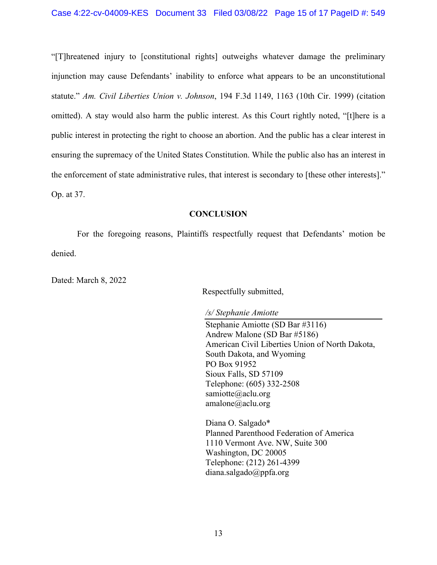"[T]hreatened injury to [constitutional rights] outweighs whatever damage the preliminary injunction may cause Defendants' inability to enforce what appears to be an unconstitutional statute." *Am. Civil Liberties Union v. Johnson*, 194 F.3d 1149, 1163 (10th Cir. 1999) (citation omitted). A stay would also harm the public interest. As this Court rightly noted, "[t]here is a public interest in protecting the right to choose an abortion. And the public has a clear interest in ensuring the supremacy of the United States Constitution. While the public also has an interest in the enforcement of state administrative rules, that interest is secondary to [these other interests]." Op. at 37.

## **CONCLUSION**

<span id="page-14-0"></span>For the foregoing reasons, Plaintiffs respectfully request that Defendants' motion be denied.

Dated: March 8, 2022

Respectfully submitted,

*/s/ Stephanie Amiotte*

Stephanie Amiotte (SD Bar #3116) Andrew Malone (SD Bar #5186) American Civil Liberties Union of North Dakota, South Dakota, and Wyoming PO Box 91952 Sioux Falls, SD 57109 Telephone: (605) 332-2508 samiotte@aclu.org amalone@aclu.org

Diana O. Salgado\* Planned Parenthood Federation of America 1110 Vermont Ave. NW, Suite 300 Washington, DC 20005 Telephone: (212) 261-4399 diana.salgado@ppfa.org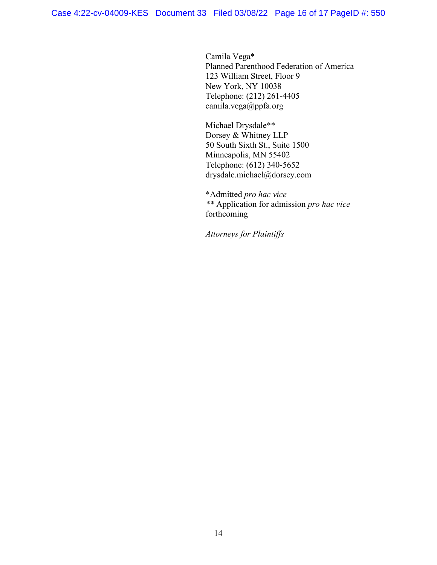Camila Vega\* Planned Parenthood Federation of America 123 William Street, Floor 9 New York, NY 10038 Telephone: (212) 261-4405 camila.vega@ppfa.org

Michael Drysdale\*\* Dorsey & Whitney LLP 50 South Sixth St., Suite 1500 Minneapolis, MN 55402 Telephone: (612) 340-5652 drysdale.michael@dorsey.com

\*Admitted *pro hac vice \*\** Application for admission *pro hac vice*  forthcoming

*Attorneys for Plaintiffs*